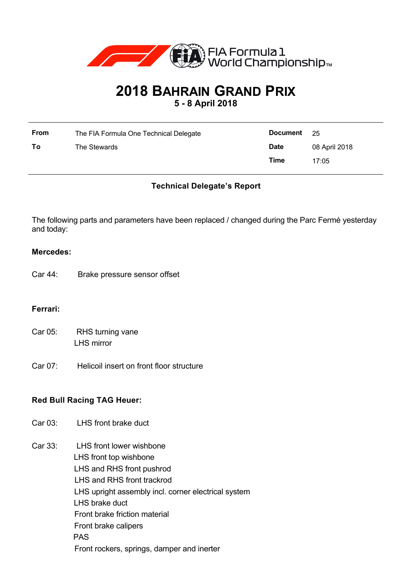

# **2018 BAHRAIN GRAND PRIX**

**5 - 8 April 2018**

| <b>From</b> | The FIA Formula One Technical Delegate | Document    | - 25          |
|-------------|----------------------------------------|-------------|---------------|
| To          | The Stewards                           | <b>Date</b> | 08 April 2018 |
|             |                                        | Time        | 17:05         |

# **Technical Delegate's Report**

The following parts and parameters have been replaced / changed during the Parc Fermé yesterday and today:

### **Mercedes:**

Car 44: Brake pressure sensor offset

# **Ferrari:**

- Car 05: RHS turning vane LHS mirror
- Car 07: Helicoil insert on front floor structure

# **Red Bull Racing TAG Heuer:**

- Car 03: LHS front brake duct
- Car 33: LHS front lower wishbone LHS front top wishbone LHS and RHS front pushrod LHS and RHS front trackrod LHS upright assembly incl. corner electrical system LHS brake duct Front brake friction material Front brake calipers PAS Front rockers, springs, damper and inerter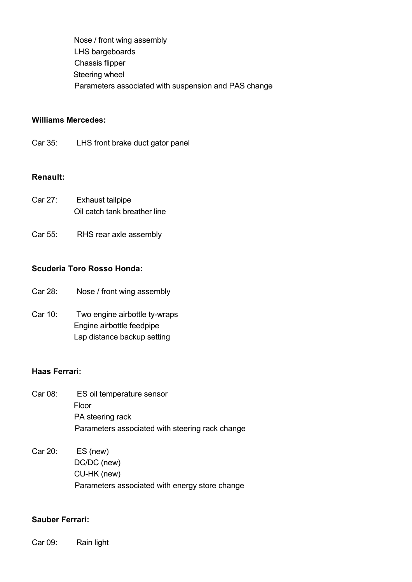Nose / front wing assembly LHS bargeboards Chassis flipper Steering wheel Parameters associated with suspension and PAS change

# **Williams Mercedes:**

Car 35: LHS front brake duct gator panel

#### **Renault:**

- Car 27: Exhaust tailpipe Oil catch tank breather line
- Car 55: RHS rear axle assembly

# **Scuderia Toro Rosso Honda:**

- Car 28: Nose / front wing assembly
- Car 10: Two engine airbottle ty-wraps Engine airbottle feedpipe Lap distance backup setting

# **Haas Ferrari:**

- Car 08: ES oil temperature sensor Floor PA steering rack Parameters associated with steering rack change
- Car 20: ES (new) DC/DC (new) CU-HK (new) Parameters associated with energy store change

#### **Sauber Ferrari:**

Car 09: Rain light